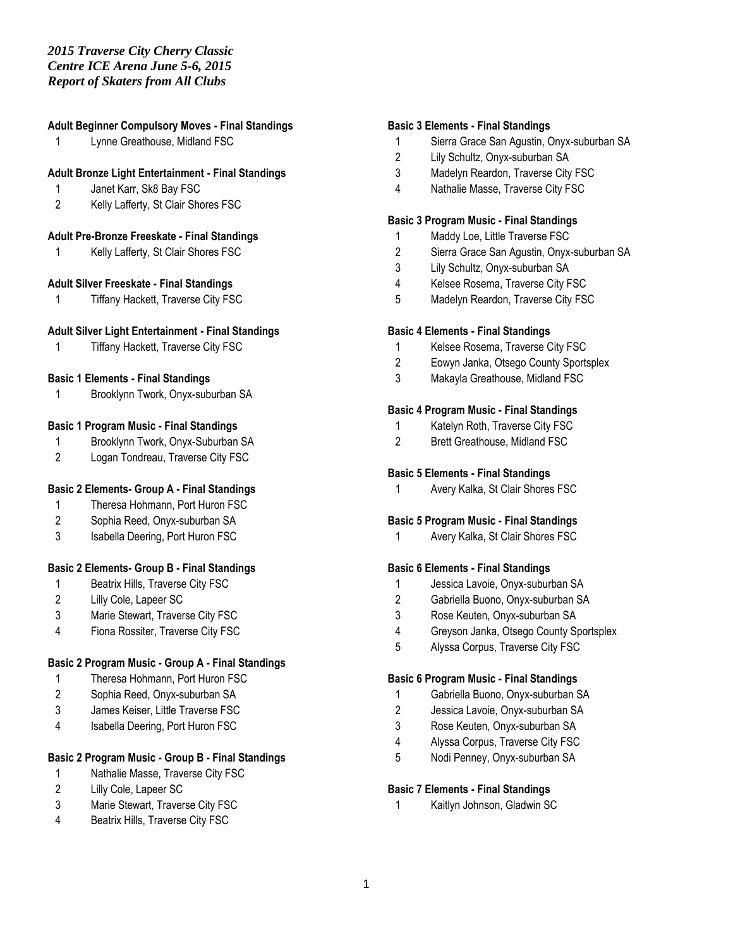## *2015 Traverse City Cherry Classic Centre ICE Arena June 5-6, 2015 Report of Skaters from All Clubs*

## **Adult Beginner Compulsory Moves - Final Standings**

Lynne Greathouse, Midland FSC

### **Adult Bronze Light Entertainment - Final Standings**

- Janet Karr, Sk8 Bay FSC
- Kelly Lafferty, St Clair Shores FSC

## **Adult Pre-Bronze Freeskate - Final Standings**

Kelly Lafferty, St Clair Shores FSC

#### **Adult Silver Freeskate - Final Standings**

Tiffany Hackett, Traverse City FSC

#### **Adult Silver Light Entertainment - Final Standings**

Tiffany Hackett, Traverse City FSC

#### **Basic 1 Elements - Final Standings**

Brooklynn Twork, Onyx-suburban SA

#### **Basic 1 Program Music - Final Standings**

- Brooklynn Twork, Onyx-Suburban SA
- Logan Tondreau, Traverse City FSC

## **Basic 2 Elements- Group A - Final Standings**

- Theresa Hohmann, Port Huron FSC
- Sophia Reed, Onyx-suburban SA
- Isabella Deering, Port Huron FSC

### **Basic 2 Elements- Group B - Final Standings**

- Beatrix Hills, Traverse City FSC
- Lilly Cole, Lapeer SC
- Marie Stewart, Traverse City FSC
- Fiona Rossiter, Traverse City FSC

#### **Basic 2 Program Music - Group A - Final Standings**

- Theresa Hohmann, Port Huron FSC
- Sophia Reed, Onyx-suburban SA
- James Keiser, Little Traverse FSC
- Isabella Deering, Port Huron FSC

## **Basic 2 Program Music - Group B - Final Standings**

- Nathalie Masse, Traverse City FSC
- Lilly Cole, Lapeer SC
- Marie Stewart, Traverse City FSC
- Beatrix Hills, Traverse City FSC

#### **Basic 3 Elements - Final Standings**

- Sierra Grace San Agustin, Onyx-suburban SA
- Lily Schultz, Onyx-suburban SA
- Madelyn Reardon, Traverse City FSC
- Nathalie Masse, Traverse City FSC

#### **Basic 3 Program Music - Final Standings**

- Maddy Loe, Little Traverse FSC
- Sierra Grace San Agustin, Onyx-suburban SA
- Lily Schultz, Onyx-suburban SA
- Kelsee Rosema, Traverse City FSC
- Madelyn Reardon, Traverse City FSC

#### **Basic 4 Elements - Final Standings**

- Kelsee Rosema, Traverse City FSC
- Eowyn Janka, Otsego County Sportsplex
- Makayla Greathouse, Midland FSC

### **Basic 4 Program Music - Final Standings**

- Katelyn Roth, Traverse City FSC
- Brett Greathouse, Midland FSC

#### **Basic 5 Elements - Final Standings**

Avery Kalka, St Clair Shores FSC

### **Basic 5 Program Music - Final Standings**

Avery Kalka, St Clair Shores FSC

#### **Basic 6 Elements - Final Standings**

- Jessica Lavoie, Onyx-suburban SA
- Gabriella Buono, Onyx-suburban SA
- Rose Keuten, Onyx-suburban SA
- Greyson Janka, Otsego County Sportsplex
- Alyssa Corpus, Traverse City FSC

#### **Basic 6 Program Music - Final Standings**

- Gabriella Buono, Onyx-suburban SA
- Jessica Lavoie, Onyx-suburban SA
- Rose Keuten, Onyx-suburban SA
- Alyssa Corpus, Traverse City FSC
- Nodi Penney, Onyx-suburban SA

#### **Basic 7 Elements - Final Standings**

Kaitlyn Johnson, Gladwin SC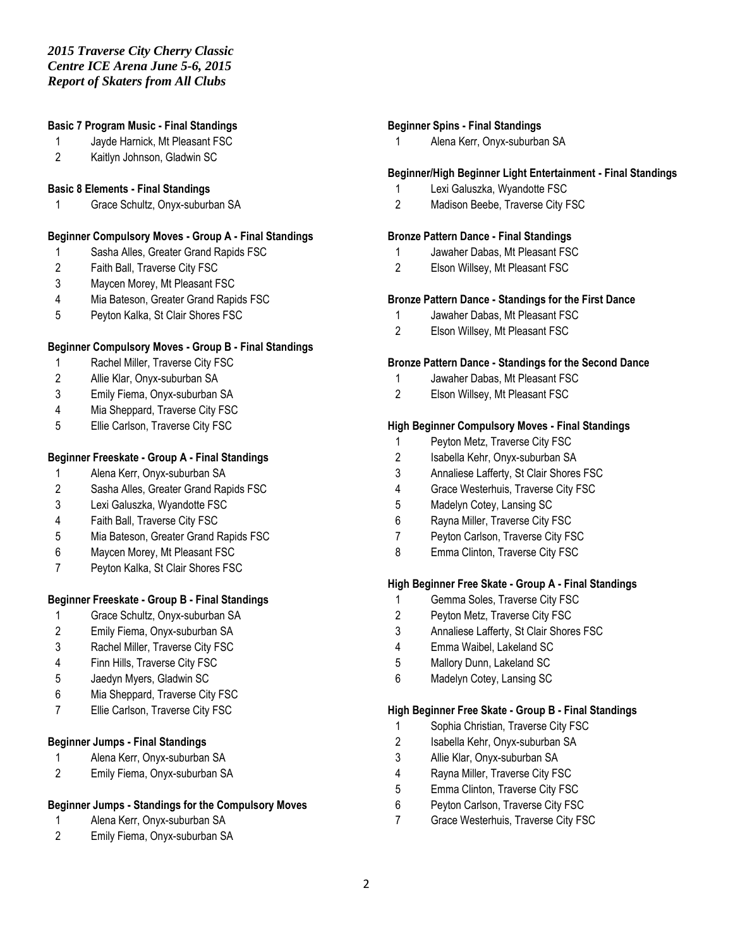## **Basic 7 Program Music - Final Standings**

- Jayde Harnick, Mt Pleasant FSC
- Kaitlyn Johnson, Gladwin SC

#### **Basic 8 Elements - Final Standings**

Grace Schultz, Onyx-suburban SA

## **Beginner Compulsory Moves - Group A - Final Standings**

- Sasha Alles, Greater Grand Rapids FSC
- Faith Ball, Traverse City FSC
- Maycen Morey, Mt Pleasant FSC
- Mia Bateson, Greater Grand Rapids FSC
- Peyton Kalka, St Clair Shores FSC

#### **Beginner Compulsory Moves - Group B - Final Standings**

- Rachel Miller, Traverse City FSC
- Allie Klar, Onyx-suburban SA
- Emily Fiema, Onyx-suburban SA
- Mia Sheppard, Traverse City FSC
- Ellie Carlson, Traverse City FSC

#### **Beginner Freeskate - Group A - Final Standings**

- Alena Kerr, Onyx-suburban SA
- Sasha Alles, Greater Grand Rapids FSC
- Lexi Galuszka, Wyandotte FSC
- Faith Ball, Traverse City FSC
- Mia Bateson, Greater Grand Rapids FSC
- Maycen Morey, Mt Pleasant FSC
- Peyton Kalka, St Clair Shores FSC

### **Beginner Freeskate - Group B - Final Standings**

- Grace Schultz, Onyx-suburban SA
- Emily Fiema, Onyx-suburban SA
- Rachel Miller, Traverse City FSC
- Finn Hills, Traverse City FSC
- Jaedyn Myers, Gladwin SC
- Mia Sheppard, Traverse City FSC
- Ellie Carlson, Traverse City FSC

#### **Beginner Jumps - Final Standings**

- Alena Kerr, Onyx-suburban SA
- Emily Fiema, Onyx-suburban SA

## **Beginner Jumps - Standings for the Compulsory Moves**

- Alena Kerr, Onyx-suburban SA
- Emily Fiema, Onyx-suburban SA

## **Beginner Spins - Final Standings**

Alena Kerr, Onyx-suburban SA

#### **Beginner/High Beginner Light Entertainment - Final Standings**

- Lexi Galuszka, Wyandotte FSC
- Madison Beebe, Traverse City FSC

#### **Bronze Pattern Dance - Final Standings**

- Jawaher Dabas, Mt Pleasant FSC
- Elson Willsey, Mt Pleasant FSC

#### **Bronze Pattern Dance - Standings for the First Dance**

- Jawaher Dabas, Mt Pleasant FSC
- Elson Willsey, Mt Pleasant FSC

### **Bronze Pattern Dance - Standings for the Second Dance**

- Jawaher Dabas, Mt Pleasant FSC
- Elson Willsey, Mt Pleasant FSC

#### **High Beginner Compulsory Moves - Final Standings**

- Peyton Metz, Traverse City FSC
- Isabella Kehr, Onyx-suburban SA
- Annaliese Lafferty, St Clair Shores FSC
- Grace Westerhuis, Traverse City FSC
- Madelyn Cotey, Lansing SC
- Rayna Miller, Traverse City FSC
- Peyton Carlson, Traverse City FSC
- 8 Emma Clinton, Traverse City FSC

### **High Beginner Free Skate - Group A - Final Standings**

- Gemma Soles, Traverse City FSC
- Peyton Metz, Traverse City FSC
- Annaliese Lafferty, St Clair Shores FSC
- Emma Waibel, Lakeland SC
- Mallory Dunn, Lakeland SC
- Madelyn Cotey, Lansing SC

## **High Beginner Free Skate - Group B - Final Standings**

- Sophia Christian, Traverse City FSC
- Isabella Kehr, Onyx-suburban SA
- Allie Klar, Onyx-suburban SA
- Rayna Miller, Traverse City FSC
- Emma Clinton, Traverse City FSC
- Peyton Carlson, Traverse City FSC
- Grace Westerhuis, Traverse City FSC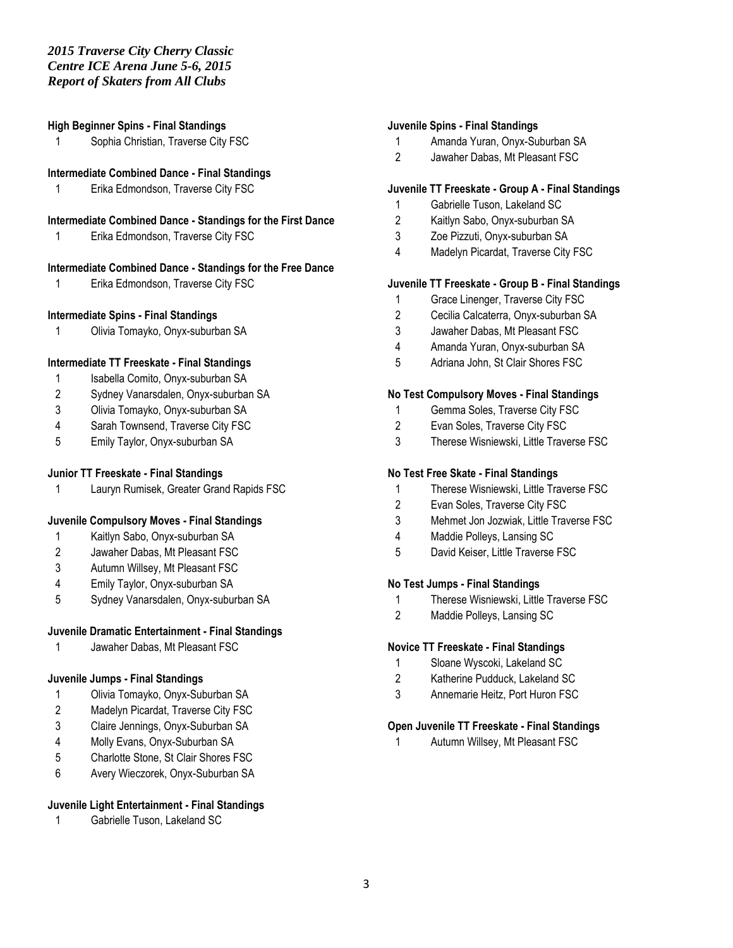#### **High Beginner Spins - Final Standings**

1 Sophia Christian, Traverse City FSC

#### **Intermediate Combined Dance - Final Standings**

Erika Edmondson, Traverse City FSC

### **Intermediate Combined Dance - Standings for the First Dance**

Erika Edmondson, Traverse City FSC

#### **Intermediate Combined Dance - Standings for the Free Dance**

Erika Edmondson, Traverse City FSC

## **Intermediate Spins - Final Standings**

Olivia Tomayko, Onyx-suburban SA

## **Intermediate TT Freeskate - Final Standings**

- 1 Isabella Comito, Onyx-suburban SA
- Sydney Vanarsdalen, Onyx-suburban SA
- Olivia Tomayko, Onyx-suburban SA
- Sarah Townsend, Traverse City FSC
- Emily Taylor, Onyx-suburban SA

## **Junior TT Freeskate - Final Standings**

Lauryn Rumisek, Greater Grand Rapids FSC

### **Juvenile Compulsory Moves - Final Standings**

- Kaitlyn Sabo, Onyx-suburban SA
- Jawaher Dabas, Mt Pleasant FSC
- Autumn Willsey, Mt Pleasant FSC
- Emily Taylor, Onyx-suburban SA
- Sydney Vanarsdalen, Onyx-suburban SA

#### **Juvenile Dramatic Entertainment - Final Standings**

Jawaher Dabas, Mt Pleasant FSC

## **Juvenile Jumps - Final Standings**

- Olivia Tomayko, Onyx-Suburban SA
- Madelyn Picardat, Traverse City FSC
- Claire Jennings, Onyx-Suburban SA
- Molly Evans, Onyx-Suburban SA
- Charlotte Stone, St Clair Shores FSC
- Avery Wieczorek, Onyx-Suburban SA

### **Juvenile Light Entertainment - Final Standings**

Gabrielle Tuson, Lakeland SC

### **Juvenile Spins - Final Standings**

- Amanda Yuran, Onyx-Suburban SA
- Jawaher Dabas, Mt Pleasant FSC

### **Juvenile TT Freeskate - Group A - Final Standings**

- Gabrielle Tuson, Lakeland SC
- Kaitlyn Sabo, Onyx-suburban SA
- Zoe Pizzuti, Onyx-suburban SA
- Madelyn Picardat, Traverse City FSC

#### **Juvenile TT Freeskate - Group B - Final Standings**

- Grace Linenger, Traverse City FSC
- Cecilia Calcaterra, Onyx-suburban SA
- Jawaher Dabas, Mt Pleasant FSC
- Amanda Yuran, Onyx-suburban SA
- Adriana John, St Clair Shores FSC

#### **No Test Compulsory Moves - Final Standings**

- Gemma Soles, Traverse City FSC
- Evan Soles, Traverse City FSC
- Therese Wisniewski, Little Traverse FSC

#### **No Test Free Skate - Final Standings**

- Therese Wisniewski, Little Traverse FSC
- Evan Soles, Traverse City FSC
- Mehmet Jon Jozwiak, Little Traverse FSC
- Maddie Polleys, Lansing SC
- David Keiser, Little Traverse FSC

#### **No Test Jumps - Final Standings**

- Therese Wisniewski, Little Traverse FSC
- Maddie Polleys, Lansing SC

#### **Novice TT Freeskate - Final Standings**

- Sloane Wyscoki, Lakeland SC
- Katherine Pudduck, Lakeland SC
- Annemarie Heitz, Port Huron FSC

#### **Open Juvenile TT Freeskate - Final Standings**

Autumn Willsey, Mt Pleasant FSC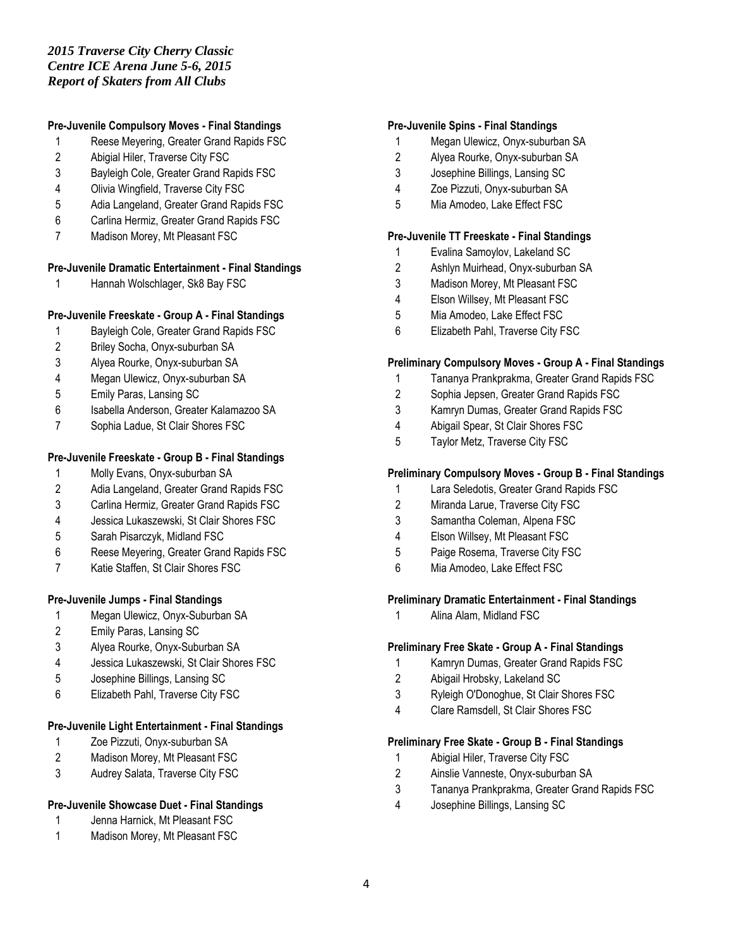## *2015 Traverse City Cherry Classic Centre ICE Arena June 5-6, 2015 Report of Skaters from All Clubs*

## **Pre-Juvenile Compulsory Moves - Final Standings**

- Reese Meyering, Greater Grand Rapids FSC
- Abigial Hiler, Traverse City FSC
- Bayleigh Cole, Greater Grand Rapids FSC
- Olivia Wingfield, Traverse City FSC
- Adia Langeland, Greater Grand Rapids FSC
- Carlina Hermiz, Greater Grand Rapids FSC
- Madison Morey, Mt Pleasant FSC

## **Pre-Juvenile Dramatic Entertainment - Final Standings**

Hannah Wolschlager, Sk8 Bay FSC

## **Pre-Juvenile Freeskate - Group A - Final Standings**

- Bayleigh Cole, Greater Grand Rapids FSC
- Briley Socha, Onyx-suburban SA
- Alyea Rourke, Onyx-suburban SA
- Megan Ulewicz, Onyx-suburban SA
- Emily Paras, Lansing SC
- Isabella Anderson, Greater Kalamazoo SA
- Sophia Ladue, St Clair Shores FSC

## **Pre-Juvenile Freeskate - Group B - Final Standings**

- Molly Evans, Onyx-suburban SA
- Adia Langeland, Greater Grand Rapids FSC
- Carlina Hermiz, Greater Grand Rapids FSC
- Jessica Lukaszewski, St Clair Shores FSC
- Sarah Pisarczyk, Midland FSC
- Reese Meyering, Greater Grand Rapids FSC
- Katie Staffen, St Clair Shores FSC

## **Pre-Juvenile Jumps - Final Standings**

- Megan Ulewicz, Onyx-Suburban SA
- Emily Paras, Lansing SC
- Alyea Rourke, Onyx-Suburban SA
- Jessica Lukaszewski, St Clair Shores FSC
- Josephine Billings, Lansing SC
- Elizabeth Pahl, Traverse City FSC

## **Pre-Juvenile Light Entertainment - Final Standings**

- Zoe Pizzuti, Onyx-suburban SA
- Madison Morey, Mt Pleasant FSC
- Audrey Salata, Traverse City FSC

### **Pre-Juvenile Showcase Duet - Final Standings**

- Jenna Harnick, Mt Pleasant FSC
- Madison Morey, Mt Pleasant FSC

#### **Pre-Juvenile Spins - Final Standings**

- Megan Ulewicz, Onyx-suburban SA
- Alyea Rourke, Onyx-suburban SA
- Josephine Billings, Lansing SC
- Zoe Pizzuti, Onyx-suburban SA
- Mia Amodeo, Lake Effect FSC

### **Pre-Juvenile TT Freeskate - Final Standings**

- Evalina Samoylov, Lakeland SC
- Ashlyn Muirhead, Onyx-suburban SA
- Madison Morey, Mt Pleasant FSC
- Elson Willsey, Mt Pleasant FSC
- Mia Amodeo, Lake Effect FSC
- Elizabeth Pahl, Traverse City FSC

## **Preliminary Compulsory Moves - Group A - Final Standings**

- Tananya Prankprakma, Greater Grand Rapids FSC
- Sophia Jepsen, Greater Grand Rapids FSC
- Kamryn Dumas, Greater Grand Rapids FSC
- Abigail Spear, St Clair Shores FSC
- Taylor Metz, Traverse City FSC

## **Preliminary Compulsory Moves - Group B - Final Standings**

- Lara Seledotis, Greater Grand Rapids FSC
- Miranda Larue, Traverse City FSC
- Samantha Coleman, Alpena FSC
- Elson Willsey, Mt Pleasant FSC
- Paige Rosema, Traverse City FSC
- Mia Amodeo, Lake Effect FSC

## **Preliminary Dramatic Entertainment - Final Standings**

Alina Alam, Midland FSC

### **Preliminary Free Skate - Group A - Final Standings**

- Kamryn Dumas, Greater Grand Rapids FSC
- Abigail Hrobsky, Lakeland SC
- Ryleigh O'Donoghue, St Clair Shores FSC
- Clare Ramsdell, St Clair Shores FSC

### **Preliminary Free Skate - Group B - Final Standings**

- Abigial Hiler, Traverse City FSC
- Ainslie Vanneste, Onyx-suburban SA
- Tananya Prankprakma, Greater Grand Rapids FSC
- Josephine Billings, Lansing SC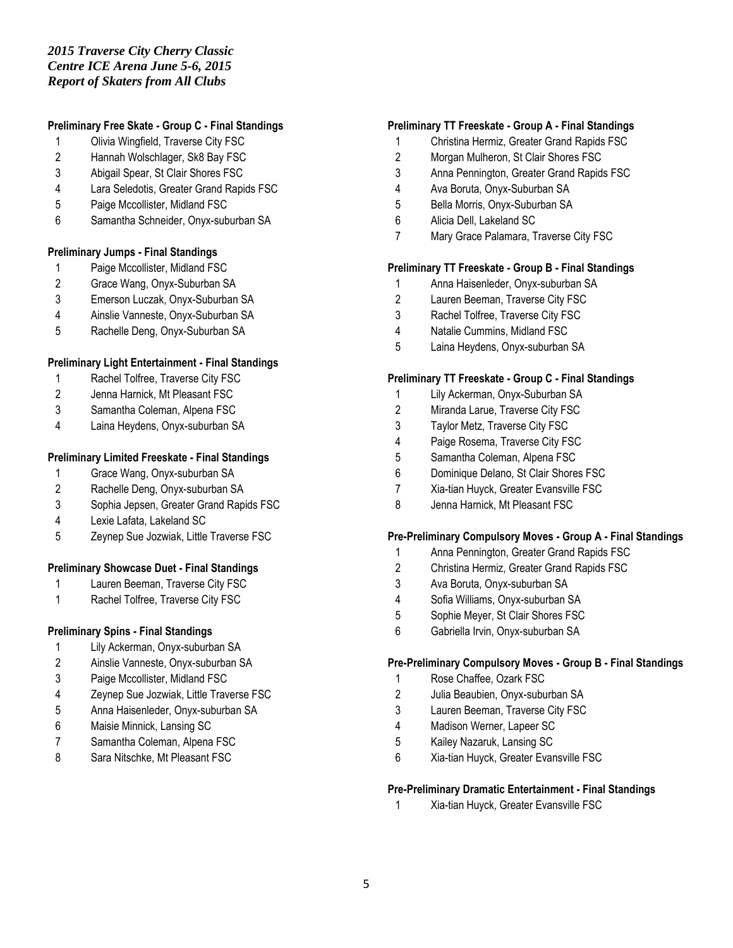## **Preliminary Free Skate - Group C - Final Standings**

- Olivia Wingfield, Traverse City FSC
- Hannah Wolschlager, Sk8 Bay FSC
- Abigail Spear, St Clair Shores FSC
- Lara Seledotis, Greater Grand Rapids FSC
- Paige Mccollister, Midland FSC
- Samantha Schneider, Onyx-suburban SA

## **Preliminary Jumps - Final Standings**

- Paige Mccollister, Midland FSC
- Grace Wang, Onyx-Suburban SA
- Emerson Luczak, Onyx-Suburban SA
- Ainslie Vanneste, Onyx-Suburban SA
- Rachelle Deng, Onyx-Suburban SA

## **Preliminary Light Entertainment - Final Standings**

- Rachel Tolfree, Traverse City FSC
- Jenna Harnick, Mt Pleasant FSC
- Samantha Coleman, Alpena FSC
- Laina Heydens, Onyx-suburban SA

## **Preliminary Limited Freeskate - Final Standings**

- Grace Wang, Onyx-suburban SA
- Rachelle Deng, Onyx-suburban SA
- Sophia Jepsen, Greater Grand Rapids FSC
- Lexie Lafata, Lakeland SC
- Zeynep Sue Jozwiak, Little Traverse FSC

## **Preliminary Showcase Duet - Final Standings**

- Lauren Beeman, Traverse City FSC
- Rachel Tolfree, Traverse City FSC

### **Preliminary Spins - Final Standings**

- Lily Ackerman, Onyx-suburban SA
- Ainslie Vanneste, Onyx-suburban SA
- Paige Mccollister, Midland FSC
- Zeynep Sue Jozwiak, Little Traverse FSC
- Anna Haisenleder, Onyx-suburban SA
- Maisie Minnick, Lansing SC
- Samantha Coleman, Alpena FSC
- Sara Nitschke, Mt Pleasant FSC

## **Preliminary TT Freeskate - Group A - Final Standings**

- Christina Hermiz, Greater Grand Rapids FSC
- Morgan Mulheron, St Clair Shores FSC
- Anna Pennington, Greater Grand Rapids FSC
- Ava Boruta, Onyx-Suburban SA
- Bella Morris, Onyx-Suburban SA
- Alicia Dell, Lakeland SC
- Mary Grace Palamara, Traverse City FSC

### **Preliminary TT Freeskate - Group B - Final Standings**

- Anna Haisenleder, Onyx-suburban SA
- Lauren Beeman, Traverse City FSC
- Rachel Tolfree, Traverse City FSC
- Natalie Cummins, Midland FSC
- Laina Heydens, Onyx-suburban SA

### **Preliminary TT Freeskate - Group C - Final Standings**

- Lily Ackerman, Onyx-Suburban SA
- Miranda Larue, Traverse City FSC
- Taylor Metz, Traverse City FSC
- Paige Rosema, Traverse City FSC
- Samantha Coleman, Alpena FSC
- Dominique Delano, St Clair Shores FSC
- Xia-tian Huyck, Greater Evansville FSC
- Jenna Harnick, Mt Pleasant FSC

### **Pre-Preliminary Compulsory Moves - Group A - Final Standings**

- Anna Pennington, Greater Grand Rapids FSC
- Christina Hermiz, Greater Grand Rapids FSC
- Ava Boruta, Onyx-suburban SA
- Sofia Williams, Onyx-suburban SA
- Sophie Meyer, St Clair Shores FSC
- Gabriella Irvin, Onyx-suburban SA

### **Pre-Preliminary Compulsory Moves - Group B - Final Standings**

- Rose Chaffee, Ozark FSC
- Julia Beaubien, Onyx-suburban SA
- Lauren Beeman, Traverse City FSC
- Madison Werner, Lapeer SC
- Kailey Nazaruk, Lansing SC
- Xia-tian Huyck, Greater Evansville FSC

## **Pre-Preliminary Dramatic Entertainment - Final Standings**

Xia-tian Huyck, Greater Evansville FSC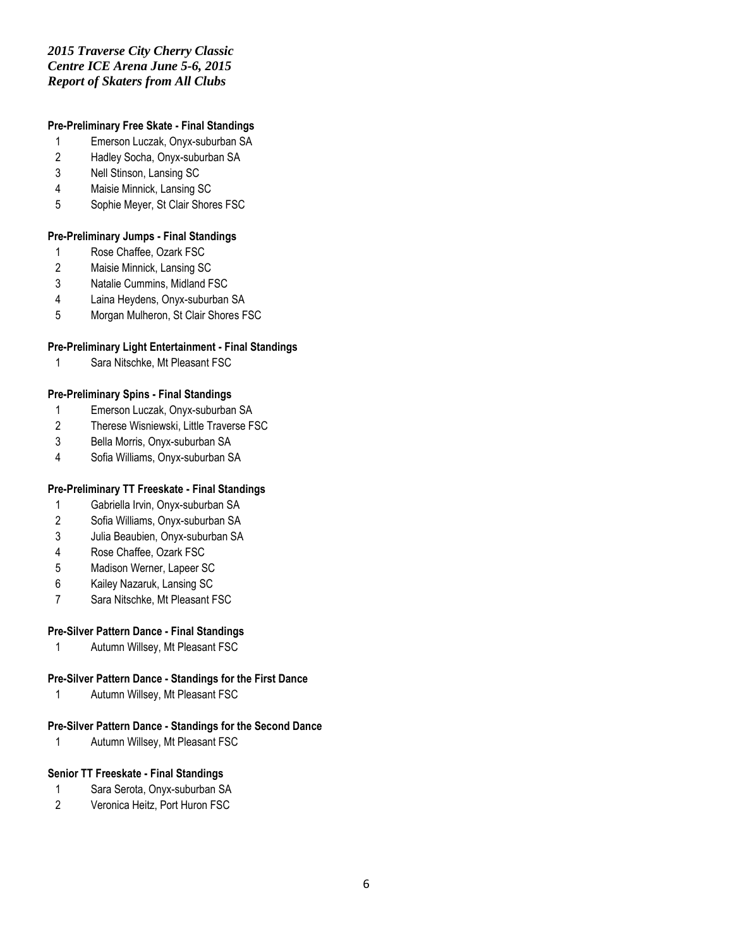## *2015 Traverse City Cherry Classic Centre ICE Arena June 5-6, 2015 Report of Skaters from All Clubs*

## **Pre-Preliminary Free Skate - Final Standings**

- Emerson Luczak, Onyx-suburban SA
- Hadley Socha, Onyx-suburban SA
- Nell Stinson, Lansing SC
- Maisie Minnick, Lansing SC
- Sophie Meyer, St Clair Shores FSC

## **Pre-Preliminary Jumps - Final Standings**

- Rose Chaffee, Ozark FSC
- Maisie Minnick, Lansing SC
- Natalie Cummins, Midland FSC
- Laina Heydens, Onyx-suburban SA
- Morgan Mulheron, St Clair Shores FSC

## **Pre-Preliminary Light Entertainment - Final Standings**

Sara Nitschke, Mt Pleasant FSC

## **Pre-Preliminary Spins - Final Standings**

- Emerson Luczak, Onyx-suburban SA
- Therese Wisniewski, Little Traverse FSC
- Bella Morris, Onyx-suburban SA
- Sofia Williams, Onyx-suburban SA

## **Pre-Preliminary TT Freeskate - Final Standings**

- Gabriella Irvin, Onyx-suburban SA
- Sofia Williams, Onyx-suburban SA
- Julia Beaubien, Onyx-suburban SA
- Rose Chaffee, Ozark FSC
- Madison Werner, Lapeer SC
- Kailey Nazaruk, Lansing SC
- Sara Nitschke, Mt Pleasant FSC

## **Pre-Silver Pattern Dance - Final Standings**

Autumn Willsey, Mt Pleasant FSC

## **Pre-Silver Pattern Dance - Standings for the First Dance**

Autumn Willsey, Mt Pleasant FSC

## **Pre-Silver Pattern Dance - Standings for the Second Dance**

Autumn Willsey, Mt Pleasant FSC

### **Senior TT Freeskate - Final Standings**

- Sara Serota, Onyx-suburban SA
- Veronica Heitz, Port Huron FSC